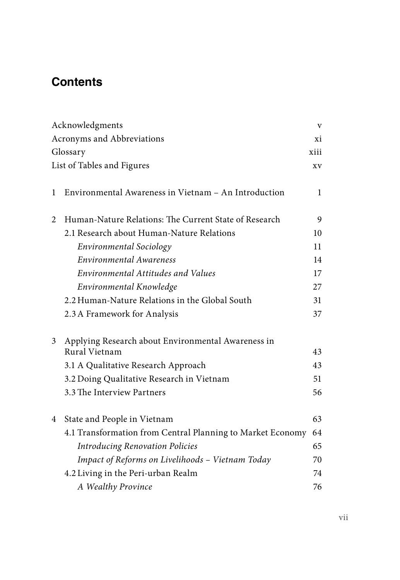## **Contents**

| Acronyms and Abbreviations<br>xi<br>Glossary<br>xiii<br>List of Tables and Figures<br>XV<br>Environmental Awareness in Vietnam - An Introduction<br>$\mathbf{1}$<br>1<br>Human-Nature Relations: The Current State of Research<br>2<br>9<br>2.1 Research about Human-Nature Relations<br>10<br>Environmental Sociology<br>11<br>Environmental Awareness<br>14 |
|---------------------------------------------------------------------------------------------------------------------------------------------------------------------------------------------------------------------------------------------------------------------------------------------------------------------------------------------------------------|
|                                                                                                                                                                                                                                                                                                                                                               |
|                                                                                                                                                                                                                                                                                                                                                               |
|                                                                                                                                                                                                                                                                                                                                                               |
|                                                                                                                                                                                                                                                                                                                                                               |
|                                                                                                                                                                                                                                                                                                                                                               |
|                                                                                                                                                                                                                                                                                                                                                               |
|                                                                                                                                                                                                                                                                                                                                                               |
|                                                                                                                                                                                                                                                                                                                                                               |
|                                                                                                                                                                                                                                                                                                                                                               |
|                                                                                                                                                                                                                                                                                                                                                               |
| Environmental Attitudes and Values<br>17                                                                                                                                                                                                                                                                                                                      |
| Environmental Knowledge<br>27                                                                                                                                                                                                                                                                                                                                 |
| 2.2 Human-Nature Relations in the Global South<br>31                                                                                                                                                                                                                                                                                                          |
| 2.3 A Framework for Analysis<br>37                                                                                                                                                                                                                                                                                                                            |
|                                                                                                                                                                                                                                                                                                                                                               |
| Applying Research about Environmental Awareness in<br>3                                                                                                                                                                                                                                                                                                       |
| Rural Vietnam<br>43                                                                                                                                                                                                                                                                                                                                           |
| 3.1 A Qualitative Research Approach<br>43                                                                                                                                                                                                                                                                                                                     |
| 3.2 Doing Qualitative Research in Vietnam<br>51                                                                                                                                                                                                                                                                                                               |
| 3.3 The Interview Partners<br>56                                                                                                                                                                                                                                                                                                                              |
| 63<br>State and People in Vietnam<br>4                                                                                                                                                                                                                                                                                                                        |
| 4.1 Transformation from Central Planning to Market Economy<br>64                                                                                                                                                                                                                                                                                              |
| <b>Introducing Renovation Policies</b><br>65                                                                                                                                                                                                                                                                                                                  |
| Impact of Reforms on Livelihoods - Vietnam Today<br>70                                                                                                                                                                                                                                                                                                        |
| 4.2 Living in the Peri-urban Realm<br>74                                                                                                                                                                                                                                                                                                                      |
| A Wealthy Province<br>76                                                                                                                                                                                                                                                                                                                                      |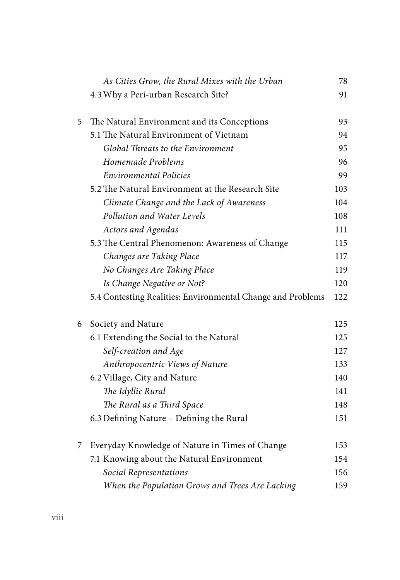|   | As Cities Grow, the Rural Mixes with the Urban              | 78  |
|---|-------------------------------------------------------------|-----|
|   | 4.3 Why a Peri-urban Research Site?                         | 91  |
| 5 | The Natural Environment and its Conceptions                 | 93  |
|   | 5.1 The Natural Environment of Vietnam                      | 94  |
|   | Global Threats to the Environment                           | 95  |
|   | Homemade Problems                                           | 96  |
|   | <b>Environmental Policies</b>                               | 99  |
|   | 5.2 The Natural Environment at the Research Site            | 103 |
|   | Climate Change and the Lack of Awareness                    | 104 |
|   | Pollution and Water Levels                                  | 108 |
|   | Actors and Agendas                                          | 111 |
|   | 5.3 The Central Phenomenon: Awareness of Change             | 115 |
|   | Changes are Taking Place                                    | 117 |
|   | No Changes Are Taking Place                                 | 119 |
|   | Is Change Negative or Not?                                  | 120 |
|   | 5.4 Contesting Realities: Environmental Change and Problems | 122 |
| 6 | Society and Nature                                          | 125 |
|   | 6.1 Extending the Social to the Natural                     | 125 |
|   | Self-creation and Age                                       | 127 |
|   | Anthropocentric Views of Nature                             | 133 |
|   | 6.2 Village, City and Nature                                | 140 |
|   | The Idyllic Rural                                           | 141 |
|   | The Rural as a Third Space                                  | 148 |
|   | 6.3 Defining Nature - Defining the Rural                    | 151 |
| 7 | Everyday Knowledge of Nature in Times of Change             | 153 |
|   | 7.1 Knowing about the Natural Environment                   | 154 |
|   | Social Representations                                      | 156 |
|   | When the Population Grows and Trees Are Lacking             | 159 |